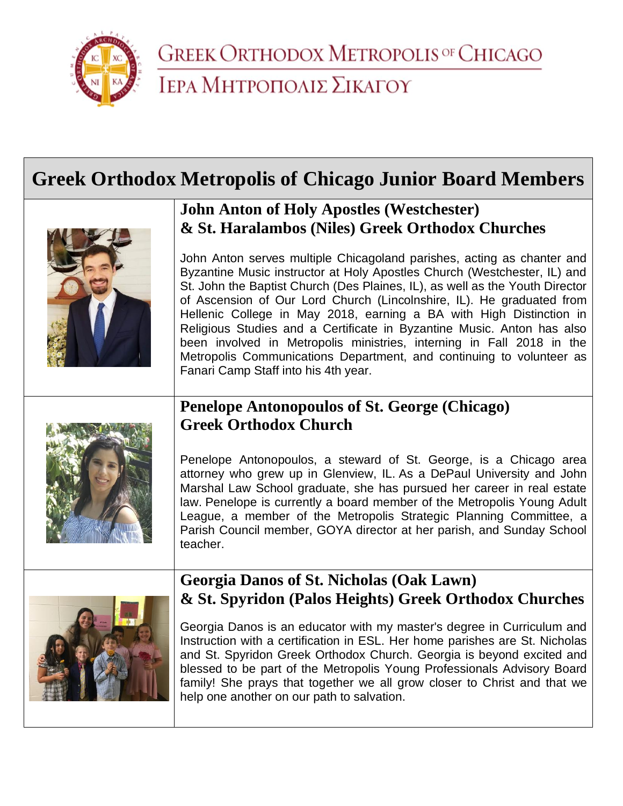

# **Greek Orthodox Metropolis of Chicago Junior Board Members**



#### **John Anton of Holy Apostles (Westchester) & St. Haralambos (Niles) Greek Orthodox Churches**

John Anton serves multiple Chicagoland parishes, acting as chanter and Byzantine Music instructor at Holy Apostles Church (Westchester, IL) and St. John the Baptist Church (Des Plaines, IL), as well as the Youth Director of Ascension of Our Lord Church (Lincolnshire, IL). He graduated from Hellenic College in May 2018, earning a BA with High Distinction in Religious Studies and a Certificate in Byzantine Music. Anton has also been involved in Metropolis ministries, interning in Fall 2018 in the Metropolis Communications Department, and continuing to volunteer as Fanari Camp Staff into his 4th year.

### **Penelope Antonopoulos of St. George (Chicago) Greek Orthodox Church**



Penelope Antonopoulos, a steward of St. George, is a Chicago area attorney who grew up in Glenview, IL. As a DePaul University and John Marshal Law School graduate, she has pursued her career in real estate law. Penelope is currently a board member of the Metropolis Young Adult League, a member of the Metropolis Strategic Planning Committee, a Parish Council member, GOYA director at her parish, and Sunday School teacher.



#### **Georgia Danos of St. Nicholas (Oak Lawn) & St. Spyridon (Palos Heights) Greek Orthodox Churches**

Georgia Danos is an educator with my master's degree in Curriculum and Instruction with a certification in ESL. Her home parishes are St. Nicholas and St. Spyridon Greek Orthodox Church. Georgia is beyond excited and blessed to be part of the Metropolis Young Professionals Advisory Board family! She prays that together we all grow closer to Christ and that we help one another on our path to salvation.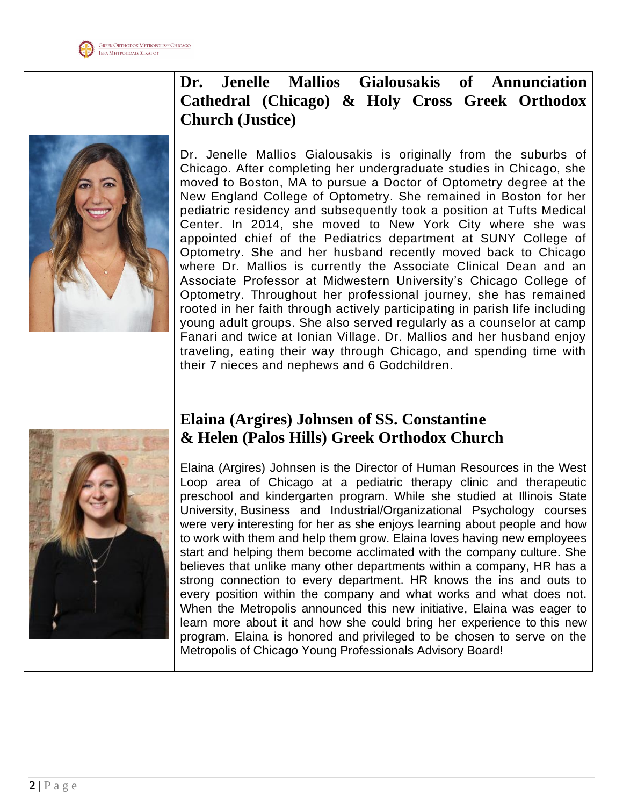

# **Dr. Jenelle Mallios Gialousakis of Annunciation Cathedral (Chicago) & Holy Cross Greek Orthodox Church (Justice)**

Dr. Jenelle Mallios Gialousakis is originally from the suburbs of Chicago. After completing her undergraduate studies in Chicago, she moved to Boston, MA to pursue a Doctor of Optometry degree at the New England College of Optometry. She remained in Boston for her pediatric residency and subsequently took a position at Tufts Medical Center. In 2014, she moved to New York City where she was appointed chief of the Pediatrics department at SUNY College of Optometry. She and her husband recently moved back to Chicago where Dr. Mallios is currently the Associate Clinical Dean and an Associate Professor at Midwestern University's Chicago College of Optometry. Throughout her professional journey, she has remained rooted in her faith through actively participating in parish life including young adult groups. She also served regularly as a counselor at camp Fanari and twice at Ionian Village. Dr. Mallios and her husband enjoy traveling, eating their way through Chicago, and spending time with their 7 nieces and nephews and 6 Godchildren.



#### **Elaina (Argires) Johnsen of SS. Constantine & Helen (Palos Hills) Greek Orthodox Church**

Elaina (Argires) Johnsen is the Director of Human Resources in the West Loop area of Chicago at a pediatric therapy clinic and therapeutic preschool and kindergarten program. While she studied at Illinois State University, Business and Industrial/Organizational Psychology courses were very interesting for her as she enjoys learning about people and how to work with them and help them grow. Elaina loves having new employees start and helping them become acclimated with the company culture. She believes that unlike many other departments within a company, HR has a strong connection to every department. HR knows the ins and outs to every position within the company and what works and what does not. When the Metropolis announced this new initiative, Elaina was eager to learn more about it and how she could bring her experience to this new program. Elaina is honored and privileged to be chosen to serve on the Metropolis of Chicago Young Professionals Advisory Board!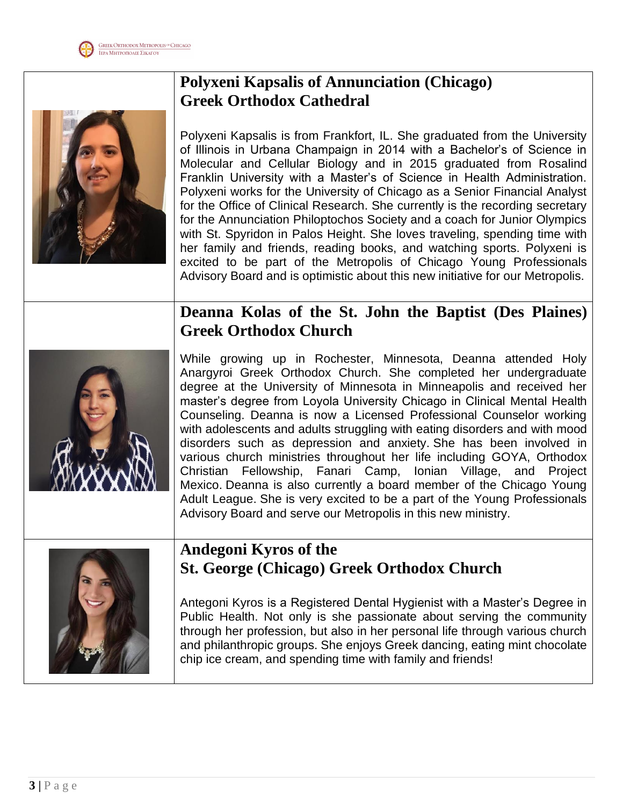

# **Polyxeni Kapsalis of Annunciation (Chicago) Greek Orthodox Cathedral**

Polyxeni Kapsalis is from Frankfort, IL. She graduated from the University of Illinois in Urbana Champaign in 2014 with a Bachelor's of Science in Molecular and Cellular Biology and in 2015 graduated from Rosalind Franklin University with a Master's of Science in Health Administration. Polyxeni works for the University of Chicago as a Senior Financial Analyst for the Office of Clinical Research. She currently is the recording secretary for the Annunciation Philoptochos Society and a coach for Junior Olympics with St. Spyridon in Palos Height. She loves traveling, spending time with her family and friends, reading books, and watching sports. Polyxeni is excited to be part of the Metropolis of Chicago Young Professionals Advisory Board and is optimistic about this new initiative for our Metropolis.

#### **Deanna Kolas of the St. John the Baptist (Des Plaines) Greek Orthodox Church**



While growing up in Rochester, Minnesota, Deanna attended Holy Anargyroi Greek Orthodox Church. She completed her undergraduate degree at the University of Minnesota in Minneapolis and received her master's degree from Loyola University Chicago in Clinical Mental Health Counseling. Deanna is now a Licensed Professional Counselor working with adolescents and adults struggling with eating disorders and with mood disorders such as depression and anxiety. She has been involved in various church ministries throughout her life including GOYA, Orthodox Christian Fellowship, Fanari Camp, Ionian Village, and Project Mexico. Deanna is also currently a board member of the Chicago Young Adult League. She is very excited to be a part of the Young Professionals Advisory Board and serve our Metropolis in this new ministry.



#### **Andegoni Kyros of the St. George (Chicago) Greek Orthodox Church**

Antegoni Kyros is a Registered Dental Hygienist with a Master's Degree in Public Health. Not only is she passionate about serving the community through her profession, but also in her personal life through various church and philanthropic groups. She enjoys Greek dancing, eating mint chocolate chip ice cream, and spending time with family and friends!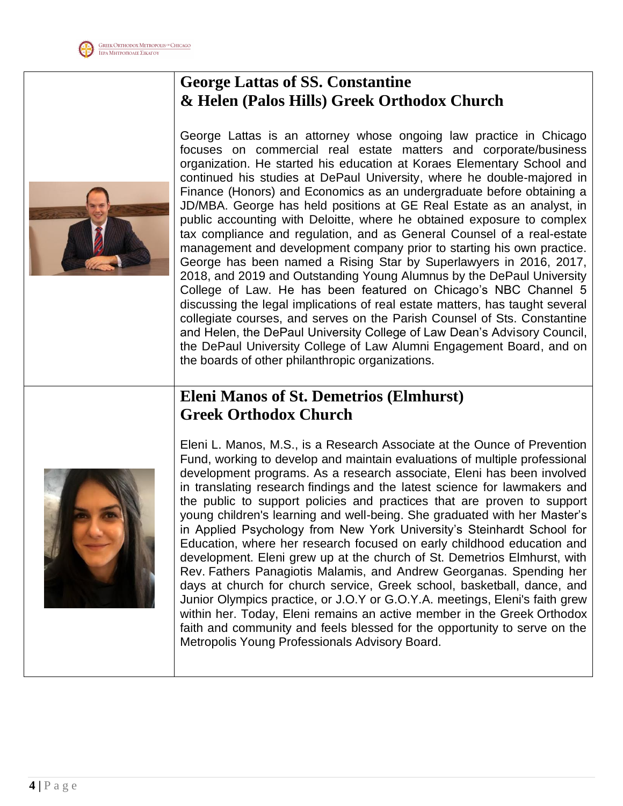

#### **George Lattas of SS. Constantine & Helen (Palos Hills) Greek Orthodox Church**

George Lattas is an attorney whose ongoing law practice in Chicago focuses on commercial real estate matters and corporate/business organization. He started his education at Koraes Elementary School and continued his studies at DePaul University, where he double-majored in Finance (Honors) and Economics as an undergraduate before obtaining a JD/MBA. George has held positions at GE Real Estate as an analyst, in public accounting with Deloitte, where he obtained exposure to complex tax compliance and regulation, and as General Counsel of a real-estate management and development company prior to starting his own practice. George has been named a Rising Star by Superlawyers in 2016, 2017, 2018, and 2019 and Outstanding Young Alumnus by the DePaul University College of Law. He has been featured on Chicago's NBC Channel 5 discussing the legal implications of real estate matters, has taught several collegiate courses, and serves on the Parish Counsel of Sts. Constantine and Helen, the DePaul University College of Law Dean's Advisory Council, the DePaul University College of Law Alumni Engagement Board, and on the boards of other philanthropic organizations.

# **Eleni Manos of St. Demetrios (Elmhurst) Greek Orthodox Church**



Eleni L. Manos, M.S., is a Research Associate at the Ounce of Prevention Fund, working to develop and maintain evaluations of multiple professional development programs. As a research associate, Eleni has been involved in translating research findings and the latest science for lawmakers and the public to support policies and practices that are proven to support young children's learning and well-being. She graduated with her Master's in Applied Psychology from New York University's Steinhardt School for Education, where her research focused on early childhood education and development. Eleni grew up at the church of St. Demetrios Elmhurst, with Rev. Fathers Panagiotis Malamis, and Andrew Georganas. Spending her days at church for church service, Greek school, basketball, dance, and Junior Olympics practice, or J.O.Y or G.O.Y.A. meetings, Eleni's faith grew within her. Today, Eleni remains an active member in the Greek Orthodox faith and community and feels blessed for the opportunity to serve on the Metropolis Young Professionals Advisory Board.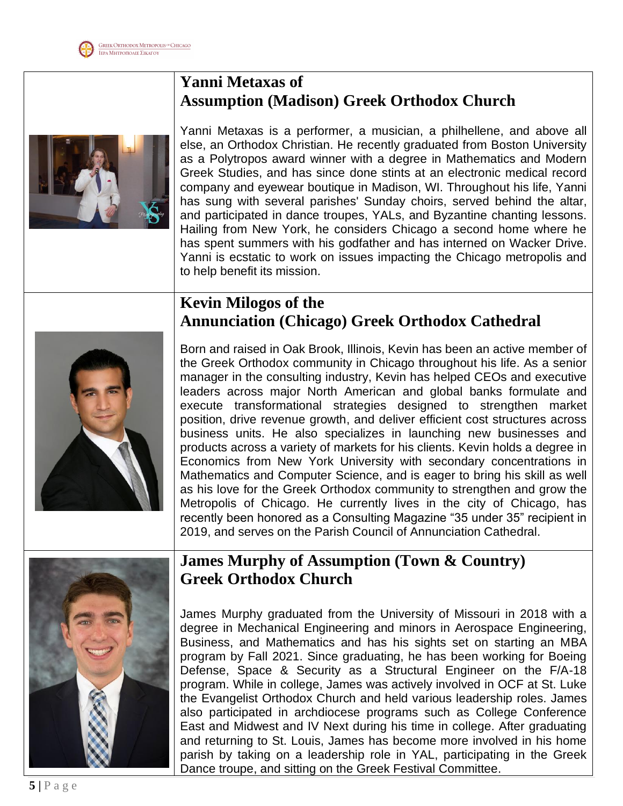### **Yanni Metaxas of Assumption (Madison) Greek Orthodox Church**



Yanni Metaxas is a performer, a musician, a philhellene, and above all else, an Orthodox Christian. He recently graduated from Boston University as a Polytropos award winner with a degree in Mathematics and Modern Greek Studies, and has since done stints at an electronic medical record company and eyewear boutique in Madison, WI. Throughout his life, Yanni has sung with several parishes' Sunday choirs, served behind the altar, and participated in dance troupes, YALs, and Byzantine chanting lessons. Hailing from New York, he considers Chicago a second home where he has spent summers with his godfather and has interned on Wacker Drive. Yanni is ecstatic to work on issues impacting the Chicago metropolis and to help benefit its mission.

# **Kevin Milogos of the Annunciation (Chicago) Greek Orthodox Cathedral**



Born and raised in Oak Brook, Illinois, Kevin has been an active member of the Greek Orthodox community in Chicago throughout his life. As a senior manager in the consulting industry, Kevin has helped CEOs and executive leaders across major North American and global banks formulate and execute transformational strategies designed to strengthen market position, drive revenue growth, and deliver efficient cost structures across business units. He also specializes in launching new businesses and products across a variety of markets for his clients. Kevin holds a degree in Economics from New York University with secondary concentrations in Mathematics and Computer Science, and is eager to bring his skill as well as his love for the Greek Orthodox community to strengthen and grow the Metropolis of Chicago. He currently lives in the city of Chicago, has recently been honored as a Consulting Magazine "35 under 35" recipient in 2019, and serves on the Parish Council of Annunciation Cathedral.



### **James Murphy of Assumption (Town & Country) Greek Orthodox Church**

James Murphy graduated from the University of Missouri in 2018 with a degree in Mechanical Engineering and minors in Aerospace Engineering, Business, and Mathematics and has his sights set on starting an MBA program by Fall 2021. Since graduating, he has been working for Boeing Defense, Space & Security as a Structural Engineer on the F/A-18 program. While in college, James was actively involved in OCF at St. Luke the Evangelist Orthodox Church and held various leadership roles. James also participated in archdiocese programs such as College Conference East and Midwest and IV Next during his time in college. After graduating and returning to St. Louis, James has become more involved in his home parish by taking on a leadership role in YAL, participating in the Greek Dance troupe, and sitting on the Greek Festival Committee.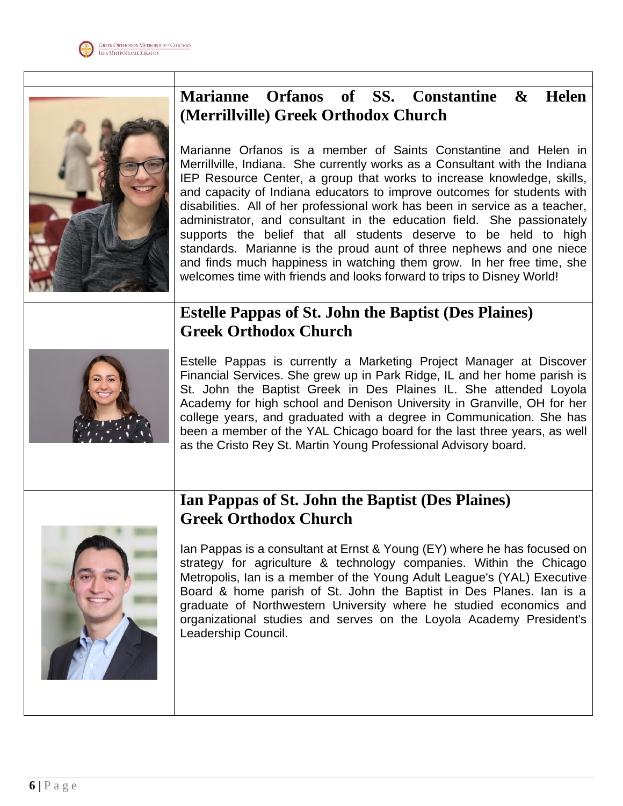

## **Marianne Orfanos of SS. Constantine & Helen (Merrillville) Greek Orthodox Church**

Marianne Orfanos is a member of Saints Constantine and Helen in Merrillville, Indiana. She currently works as a Consultant with the Indiana IEP Resource Center, a group that works to increase knowledge, skills, and capacity of Indiana educators to improve outcomes for students with disabilities. All of her professional work has been in service as a teacher, administrator, and consultant in the education field. She passionately supports the belief that all students deserve to be held to high standards. Marianne is the proud aunt of three nephews and one niece and finds much happiness in watching them grow. In her free time, she welcomes time with friends and looks forward to trips to Disney World!

# **Estelle Pappas of St. John the Baptist (Des Plaines) Greek Orthodox Church**



Estelle Pappas is currently a Marketing Project Manager at Discover Financial Services. She grew up in Park Ridge, IL and her home parish is St. John the Baptist Greek in Des Plaines IL. She attended Loyola Academy for high school and Denison University in Granville, OH for her college years, and graduated with a degree in Communication. She has been a member of the YAL Chicago board for the last three years, as well as the Cristo Rey St. Martin Young Professional Advisory board.

# **Ian Pappas of St. John the Baptist (Des Plaines) Greek Orthodox Church**

Ian Pappas is a consultant at Ernst & Young (EY) where he has focused on strategy for agriculture & technology companies. Within the Chicago Metropolis, Ian is a member of the Young Adult League's (YAL) Executive Board & home parish of St. John the Baptist in Des Planes. Ian is a graduate of Northwestern University where he studied economics and organizational studies and serves on the Loyola Academy President's Leadership Council.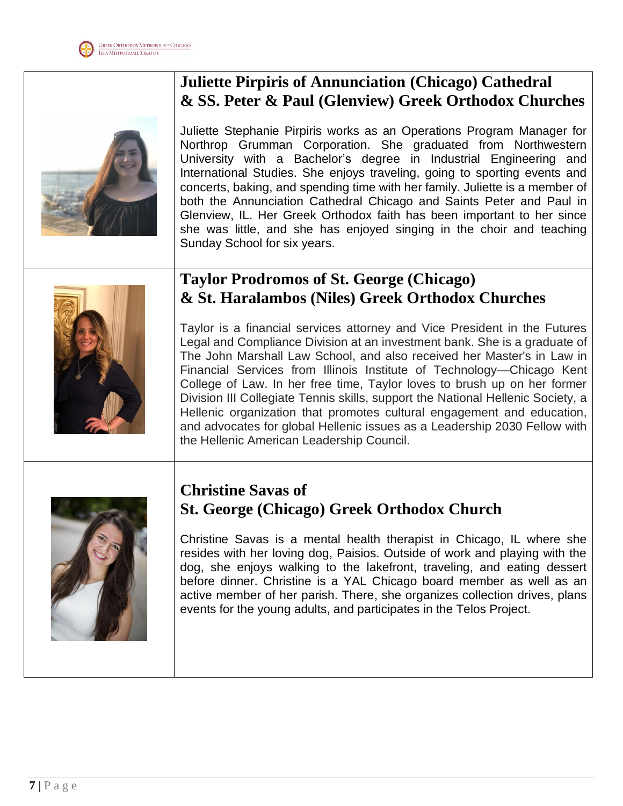





Juliette Stephanie Pirpiris works as an Operations Program Manager for Northrop Grumman Corporation. She graduated from Northwestern University with a Bachelor's degree in Industrial Engineering and International Studies. She enjoys traveling, going to sporting events and concerts, baking, and spending time with her family. Juliette is a member of both the Annunciation Cathedral Chicago and Saints Peter and Paul in Glenview, IL. Her Greek Orthodox faith has been important to her since she was little, and she has enjoyed singing in the choir and teaching Sunday School for six years.

### **Taylor Prodromos of St. George (Chicago) & St. Haralambos (Niles) Greek Orthodox Churches**



Taylor is a financial services attorney and Vice President in the Futures Legal and Compliance Division at an investment bank. She is a graduate of The John Marshall Law School, and also received her Master's in Law in Financial Services from Illinois Institute of Technology—Chicago Kent College of Law. In her free time, Taylor loves to brush up on her former Division III Collegiate Tennis skills, support the National Hellenic Society, a Hellenic organization that promotes cultural engagement and education, and advocates for global Hellenic issues as a Leadership 2030 Fellow with the Hellenic American Leadership Council.



#### **Christine Savas of St. George (Chicago) Greek Orthodox Church**

Christine Savas is a mental health therapist in Chicago, IL where she resides with her loving dog, Paisios. Outside of work and playing with the dog, she enjoys walking to the lakefront, traveling, and eating dessert before dinner. Christine is a YAL Chicago board member as well as an active member of her parish. There, she organizes collection drives, plans events for the young adults, and participates in the Telos Project.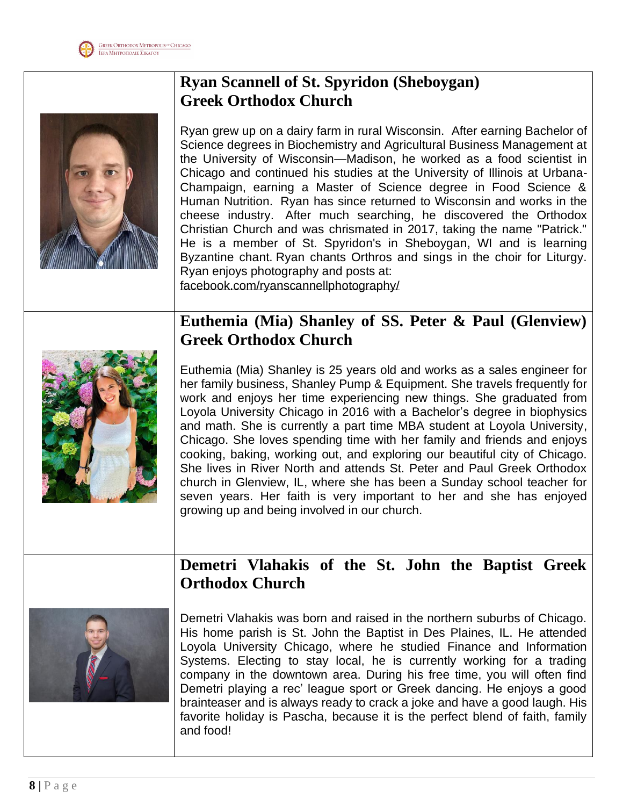

# **Ryan Scannell of St. Spyridon (Sheboygan) Greek Orthodox Church**

Ryan grew up on a dairy farm in rural Wisconsin. After earning Bachelor of Science degrees in Biochemistry and Agricultural Business Management at the University of Wisconsin—Madison, he worked as a food scientist in Chicago and continued his studies at the University of Illinois at Urbana-Champaign, earning a Master of Science degree in Food Science & Human Nutrition. Ryan has since returned to Wisconsin and works in the cheese industry. After much searching, he discovered the Orthodox Christian Church and was chrismated in 2017, taking the name "Patrick." He is a member of St. Spyridon's in Sheboygan, WI and is learning Byzantine chant. Ryan chants Orthros and sings in the choir for Liturgy. Ryan enjoys photography and posts at: [facebook.com/ryanscannellphotography/](https://www.facebook.com/ryanscannellphotography/)

#### **Euthemia (Mia) Shanley of SS. Peter & Paul (Glenview) Greek Orthodox Church**



Euthemia (Mia) Shanley is 25 years old and works as a sales engineer for her family business, Shanley Pump & Equipment. She travels frequently for work and enjoys her time experiencing new things. She graduated from Loyola University Chicago in 2016 with a Bachelor's degree in biophysics and math. She is currently a part time MBA student at Loyola University, Chicago. She loves spending time with her family and friends and enjoys cooking, baking, working out, and exploring our beautiful city of Chicago. She lives in River North and attends St. Peter and Paul Greek Orthodox church in Glenview, IL, where she has been a Sunday school teacher for seven years. Her faith is very important to her and she has enjoyed growing up and being involved in our church.

#### **Demetri Vlahakis of the St. John the Baptist Greek Orthodox Church**



Demetri Vlahakis was born and raised in the northern suburbs of Chicago. His home parish is St. John the Baptist in Des Plaines, IL. He attended Loyola University Chicago, where he studied Finance and Information Systems. Electing to stay local, he is currently working for a trading company in the downtown area. During his free time, you will often find Demetri playing a rec' league sport or Greek dancing. He enjoys a good brainteaser and is always ready to crack a joke and have a good laugh. His favorite holiday is Pascha, because it is the perfect blend of faith, family and food!